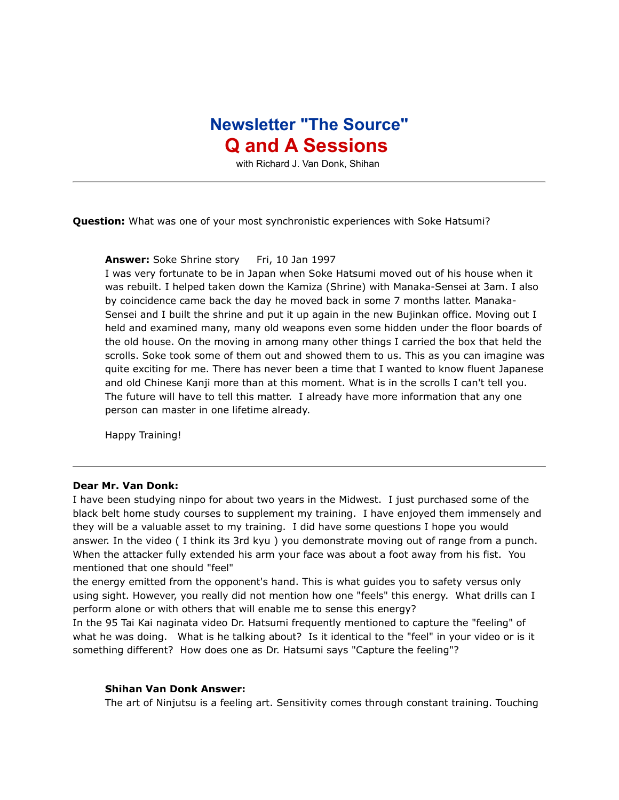## **Newsletter "The Source" Q and A Sessions**

with Richard J. Van Donk, Shihan

**Question:** What was one of your most synchronistic experiences with Soke Hatsumi?

Answer: Soke Shrine story Fri, 10 Jan 1997

I was very fortunate to be in Japan when Soke Hatsumi moved out of his house when it was rebuilt. I helped taken down the Kamiza (Shrine) with Manaka-Sensei at 3am. I also by coincidence came back the day he moved back in some 7 months latter. Manaka-Sensei and I built the shrine and put it up again in the new Bujinkan office. Moving out I held and examined many, many old weapons even some hidden under the floor boards of the old house. On the moving in among many other things I carried the box that held the scrolls. Soke took some of them out and showed them to us. This as you can imagine was quite exciting for me. There has never been a time that I wanted to know fluent Japanese and old Chinese Kanji more than at this moment. What is in the scrolls I can't tell you. The future will have to tell this matter. I already have more information that any one person can master in one lifetime already.

Happy Training!

## **Dear Mr. Van Donk:**

I have been studying ninpo for about two years in the Midwest. I just purchased some of the black belt home study courses to supplement my training. I have enjoyed them immensely and they will be a valuable asset to my training. I did have some questions I hope you would answer. In the video ( I think its 3rd kyu ) you demonstrate moving out of range from a punch. When the attacker fully extended his arm your face was about a foot away from his fist. You mentioned that one should "feel"

the energy emitted from the opponent's hand. This is what guides you to safety versus only using sight. However, you really did not mention how one "feels" this energy. What drills can I perform alone or with others that will enable me to sense this energy?

In the 95 Tai Kai naginata video Dr. Hatsumi frequently mentioned to capture the "feeling" of what he was doing. What is he talking about? Is it identical to the "feel" in your video or is it something different? How does one as Dr. Hatsumi says "Capture the feeling"?

## **Shihan Van Donk Answer:**

The art of Ninjutsu is a feeling art. Sensitivity comes through constant training. Touching